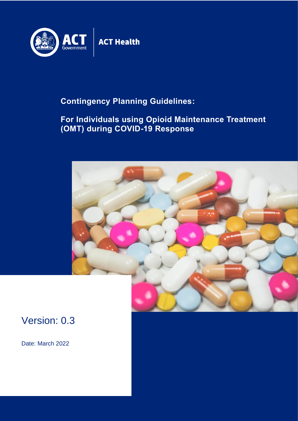

## **Contingency Planning Guidelines:**

## **For Individuals using Opioid Maintenance Treatment (OMT) during COVID-19 Response**



## Version: 0.3

Date: March 2022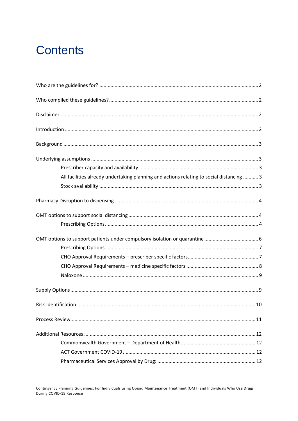## **Contents**

| All facilities already undertaking planning and actions relating to social distancing  3 |
|------------------------------------------------------------------------------------------|
|                                                                                          |
|                                                                                          |
|                                                                                          |
|                                                                                          |
|                                                                                          |
|                                                                                          |
|                                                                                          |
|                                                                                          |
|                                                                                          |
|                                                                                          |
|                                                                                          |
|                                                                                          |
|                                                                                          |
|                                                                                          |
|                                                                                          |
|                                                                                          |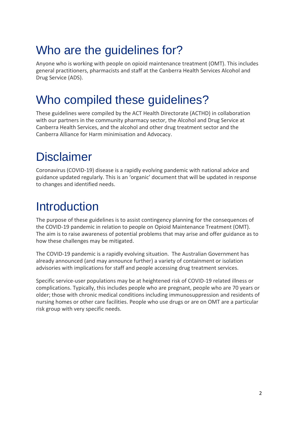## <span id="page-2-0"></span>Who are the guidelines for?

Anyone who is working with people on opioid maintenance treatment (OMT). This includes general practitioners, pharmacists and staff at the Canberra Health Services Alcohol and Drug Service (ADS).

## <span id="page-2-1"></span>Who compiled these guidelines?

These guidelines were compiled by the ACT Health Directorate (ACTHD) in collaboration with our partners in the community pharmacy sector, the Alcohol and Drug Service at Canberra Health Services, and the alcohol and other drug treatment sector and the Canberra Alliance for Harm minimisation and Advocacy.

# <span id="page-2-2"></span>Disclaimer

Coronavirus (COVID-19) disease is a rapidly evolving pandemic with national advice and guidance updated regularly. This is an 'organic' document that will be updated in response to changes and identified needs.

## <span id="page-2-3"></span>Introduction

The purpose of these guidelines is to assist contingency planning for the consequences of the COVID-19 pandemic in relation to people on Opioid Maintenance Treatment (OMT). The aim is to raise awareness of potential problems that may arise and offer guidance as to how these challenges may be mitigated.

The COVID-19 pandemic is a rapidly evolving situation. The Australian Government has already announced (and may announce further) a variety of containment or isolation advisories with implications for staff and people accessing drug treatment services.

Specific service-user populations may be at heightened risk of COVID-19 related illness or complications. Typically, this includes people who are pregnant, people who are 70 years or older; those with chronic medical conditions including immunosuppression and residents of nursing homes or other care facilities. People who use drugs or are on OMT are a particular risk group with very specific needs.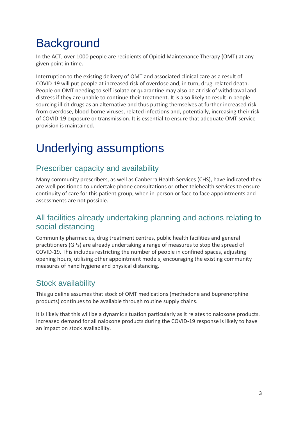# <span id="page-3-0"></span>**Background**

In the ACT, over 1000 people are recipients of Opioid Maintenance Therapy (OMT) at any given point in time.

Interruption to the existing delivery of OMT and associated clinical care as a result of COVID-19 will put people at increased risk of overdose and, in turn, drug-related death. People on OMT needing to self-isolate or quarantine may also be at risk of withdrawal and distress if they are unable to continue their treatment. It is also likely to result in people sourcing illicit drugs as an alternative and thus putting themselves at further increased risk from overdose, blood-borne viruses, related infections and, potentially, increasing their risk of COVID-19 exposure or transmission. It is essential to ensure that adequate OMT service provision is maintained.

# <span id="page-3-1"></span>Underlying assumptions

## <span id="page-3-2"></span>Prescriber capacity and availability

Many community prescribers, as well as Canberra Health Services (CHS), have indicated they are well positioned to undertake phone consultations or other telehealth services to ensure continuity of care for this patient group, when in-person or face to face appointments and assessments are not possible.

### <span id="page-3-3"></span>All facilities already undertaking planning and actions relating to social distancing

Community pharmacies, drug treatment centres, public health facilities and general practitioners (GPs) are already undertaking a range of measures to stop the spread of COVID-19. This includes restricting the number of people in confined spaces, adjusting opening hours, utilising other appointment models, encouraging the existing community measures of hand hygiene and physical distancing.

## <span id="page-3-4"></span>Stock availability

This guideline assumes that stock of OMT medications (methadone and buprenorphine products) continues to be available through routine supply chains.

It is likely that this will be a dynamic situation particularly as it relates to naloxone products. Increased demand for all naloxone products during the COVID-19 response is likely to have an impact on stock availability.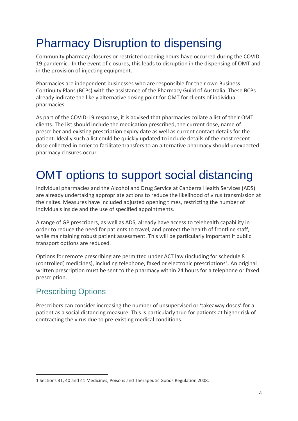## <span id="page-4-0"></span>Pharmacy Disruption to dispensing

Community pharmacy closures or restricted opening hours have occurred during the COVID-19 pandemic. In the event of closures, this leads to disruption in the dispensing of OMT and in the provision of injecting equipment.

Pharmacies are independent businesses who are responsible for their own Business Continuity Plans (BCPs) with the assistance of the Pharmacy Guild of Australia. These BCPs already indicate the likely alternative dosing point for OMT for clients of individual pharmacies.

As part of the COVID-19 response, it is advised that pharmacies collate a list of their OMT clients. The list should include the medication prescribed, the current dose, name of prescriber and existing prescription expiry date as well as current contact details for the patient. Ideally such a list could be quickly updated to include details of the most recent dose collected in order to facilitate transfers to an alternative pharmacy should unexpected pharmacy closures occur.

# <span id="page-4-1"></span>OMT options to support social distancing

Individual pharmacies and the Alcohol and Drug Service at Canberra Health Services (ADS) are already undertaking appropriate actions to reduce the likelihood of virus transmission at their sites. Measures have included adjusted opening times, restricting the number of individuals inside and the use of specified appointments.

A range of GP prescribers, as well as ADS, already have access to telehealth capability in order to reduce the need for patients to travel, and protect the health of frontline staff, while maintaining robust patient assessment. This will be particularly important if public transport options are reduced.

Options for remote prescribing are permitted under ACT law (including for schedule 8 (controlled) medicines), including telephone, faxed or electronic prescriptions<sup>1</sup>. An original written prescription must be sent to the pharmacy within 24 hours for a telephone or faxed prescription.

## <span id="page-4-2"></span>Prescribing Options

Prescribers can consider increasing the number of unsupervised or 'takeaway doses' for a patient as a social distancing measure. This is particularly true for patients at higher risk of contracting the virus due to pre-existing medical conditions.

<sup>1</sup> Sections 31, 40 and 41 Medicines, Poisons and Therapeutic Goods Regulation 2008.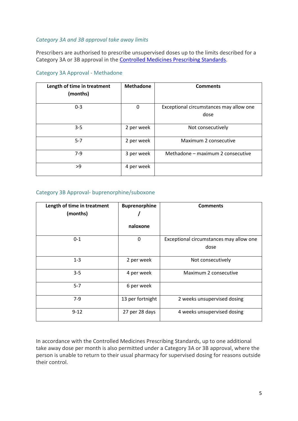#### *Category 3A and 3B approval take away limits*

Prescribers are authorised to prescribe unsupervised doses up to the limits described for a Category 3A or 3B approval in the [Controlled Medicines Prescribing Standards.](https://www.legislation.act.gov.au/View/ni/2019-663/current/PDF/2019-663.PDF)

#### Category 3A Approval - Methadone

| Length of time in treatment<br>(months) | <b>Methadone</b> | <b>Comments</b>                                 |
|-----------------------------------------|------------------|-------------------------------------------------|
| $0 - 3$                                 | 0                | Exceptional circumstances may allow one<br>dose |
| $3 - 5$                                 | 2 per week       | Not consecutively                               |
| $5 - 7$                                 | 2 per week       | Maximum 2 consecutive                           |
| $7-9$                                   | 3 per week       | Methadone – maximum 2 consecutive               |
| >9                                      | 4 per week       |                                                 |

#### Category 3B Approval- buprenorphine/suboxone

| Length of time in treatment | <b>Buprenorphine</b> | <b>Comments</b>                         |
|-----------------------------|----------------------|-----------------------------------------|
| (months)                    |                      |                                         |
|                             | naloxone             |                                         |
| $0 - 1$                     | 0                    | Exceptional circumstances may allow one |
|                             |                      | dose                                    |
| $1 - 3$                     | 2 per week           | Not consecutively                       |
| $3 - 5$                     | 4 per week           | Maximum 2 consecutive                   |
| $5 - 7$                     | 6 per week           |                                         |
| $7-9$                       | 13 per fortnight     | 2 weeks unsupervised dosing             |
| $9 - 12$                    | 27 per 28 days       | 4 weeks unsupervised dosing             |

In accordance with the Controlled Medicines Prescribing Standards, up to one additional take away dose per month is also permitted under a Category 3A or 3B approval, where the person is unable to return to their usual pharmacy for supervised dosing for reasons outside their control.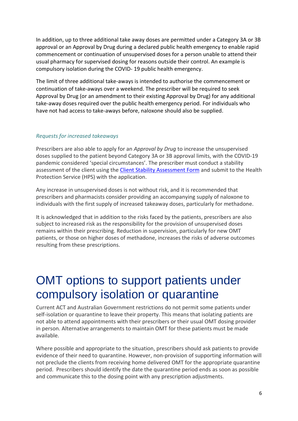In addition, up to three additional take away doses are permitted under a Category 3A or 3B approval or an Approval by Drug during a declared public health emergency to enable rapid commencement or continuation of unsupervised doses for a person unable to attend their usual pharmacy for supervised dosing for reasons outside their control. An example is compulsory isolation during the COVID- 19 public health emergency.

The limit of three additional take-aways is intended to authorise the commencement or continuation of take-aways over a weekend. The prescriber will be required to seek Approval by Drug (or an amendment to their existing Approval by Drug) for any additional take-away doses required over the public health emergency period. For individuals who have not had access to take-aways before, naloxone should also be supplied.

#### *Requests for increased takeaways*

Prescribers are also able to apply for an *Approval by Drug* to increase the unsupervised doses supplied to the patient beyond Category 3A or 3B approval limits, with the COVID-19 pandemic considered 'special circumstances'. The prescriber must conduct a stability assessment of the client using the [Client Stability Assessment Form](https://www.health.act.gov.au/sites/default/files/2018-09/Opioid%20Maintenance%20Treatment%20in%20the%20ACT%20-%20Local%20Policies%20and%20Procedures%202018.pdf) and submit to the Health Protection Service (HPS) with the application.

Any increase in unsupervised doses is not without risk, and it is recommended that prescribers and pharmacists consider providing an accompanying supply of naloxone to individuals with the first supply of increased takeaway doses, particularly for methadone.

It is acknowledged that in addition to the risks faced by the patients, prescribers are also subject to increased risk as the responsibility for the provision of unsupervised doses remains within their prescribing. Reduction in supervision, particularly for new OMT patients, or those on higher doses of methadone, increases the risks of adverse outcomes resulting from these prescriptions.

## <span id="page-6-0"></span>OMT options to support patients under compulsory isolation or quarantine

Current ACT and Australian Government restrictions do not permit some patients under self-isolation or quarantine to leave their property. This means that isolating patients are not able to attend appointments with their prescribers or their usual OMT dosing provider in person. Alternative arrangements to maintain OMT for these patients must be made available.

Where possible and appropriate to the situation, prescribers should ask patients to provide evidence of their need to quarantine. However, non-provision of supporting information will not preclude the clients from receiving home delivered OMT for the appropriate quarantine period. Prescribers should identify the date the quarantine period ends as soon as possible and communicate this to the dosing point with any prescription adjustments.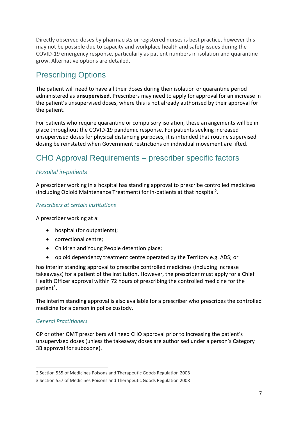Directly observed doses by pharmacists or registered nurses is best practice, however this may not be possible due to capacity and workplace health and safety issues during the COVID-19 emergency response, particularly as patient numbers in isolation and quarantine grow. Alternative options are detailed.

## <span id="page-7-0"></span>Prescribing Options

The patient will need to have all their doses during their isolation or quarantine period administered as **unsupervised**. Prescribers may need to apply for approval for an increase in the patient's unsupervised doses, where this is not already authorised by their approval for the patient.

For patients who require quarantine or compulsory isolation, these arrangements will be in place throughout the COVID-19 pandemic response. For patients seeking increased unsupervised doses for physical distancing purposes, it is intended that routine supervised dosing be reinstated when Government restrictions on individual movement are lifted.

## <span id="page-7-1"></span>CHO Approval Requirements – prescriber specific factors

#### *Hospital in-patients*

A prescriber working in a hospital has standing approval to prescribe controlled medicines (including Opioid Maintenance Treatment) for in-patients at that hospital<sup>2</sup>.

#### *Prescribers at certain institutions*

A prescriber working at a:

- hospital (for outpatients);
- correctional centre;
- Children and Young People detention place;
- opioid dependency treatment centre operated by the Territory e.g. ADS; or

has interim standing approval to prescribe controlled medicines (including increase takeaways) for a patient of the institution. However, the prescriber must apply for a Chief Health Officer approval within 72 hours of prescribing the controlled medicine for the patient<sup>3</sup>.

The interim standing approval is also available for a prescriber who prescribes the controlled medicine for a person in police custody.

#### *General Practitioners*

GP or other OMT prescribers will need CHO approval prior to increasing the patient's unsupervised doses (unless the takeaway doses are authorised under a person's Category 3B approval for suboxone).

<sup>2</sup> Section 555 of Medicines Poisons and Therapeutic Goods Regulation 2008

<sup>3</sup> Section 557 of Medicines Poisons and Therapeutic Goods Regulation 2008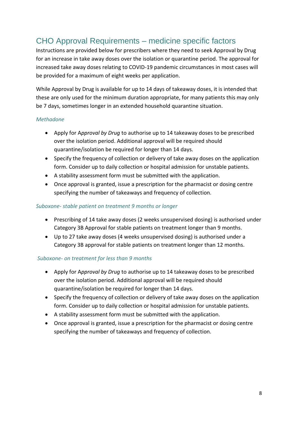## <span id="page-8-0"></span>CHO Approval Requirements – medicine specific factors

Instructions are provided below for prescribers where they need to seek Approval by Drug for an increase in take away doses over the isolation or quarantine period. The approval for increased take away doses relating to COVID-19 pandemic circumstances in most cases will be provided for a maximum of eight weeks per application.

While Approval by Drug is available for up to 14 days of takeaway doses, it is intended that these are only used for the minimum duration appropriate, for many patients this may only be 7 days, sometimes longer in an extended household quarantine situation.

#### *Methadone*

- Apply for A*pproval by Drug* to authorise up to 14 takeaway doses to be prescribed over the isolation period. Additional approval will be required should quarantine/isolation be required for longer than 14 days.
- Specify the frequency of collection or delivery of take away doses on the application form. Consider up to daily collection or hospital admission for unstable patients.
- A stability assessment form must be submitted with the application.
- Once approval is granted, issue a prescription for the pharmacist or dosing centre specifying the number of takeaways and frequency of collection.

#### *Suboxone- stable patient on treatment 9 months or longer*

- Prescribing of 14 take away doses (2 weeks unsupervised dosing) is authorised under Category 3B Approval for stable patients on treatment longer than 9 months.
- Up to 27 take away doses (4 weeks unsupervised dosing) is authorised under a Category 3B approval for stable patients on treatment longer than 12 months.

#### *Suboxone- on treatment for less than 9 months*

- Apply for A*pproval by Drug* to authorise up to 14 takeaway doses to be prescribed over the isolation period. Additional approval will be required should quarantine/isolation be required for longer than 14 days.
- Specify the frequency of collection or delivery of take away doses on the application form. Consider up to daily collection or hospital admission for unstable patients.
- A stability assessment form must be submitted with the application.
- Once approval is granted, issue a prescription for the pharmacist or dosing centre specifying the number of takeaways and frequency of collection.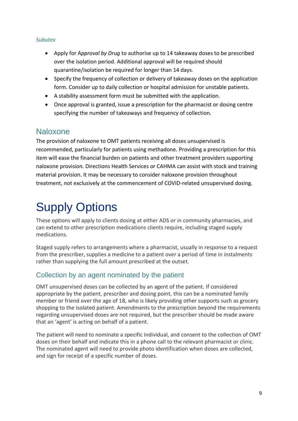#### *Subutex*

- Apply for A*pproval by Drug* to authorise up to 14 takeaway doses to be prescribed over the isolation period. Additional approval will be required should quarantine/isolation be required for longer than 14 days.
- Specify the frequency of collection or delivery of takeaway doses on the application form. Consider up to daily collection or hospital admission for unstable patients.
- A stability assessment form must be submitted with the application.
- Once approval is granted, issue a prescription for the pharmacist or dosing centre specifying the number of takeaways and frequency of collection.

### <span id="page-9-0"></span>Naloxone

The provision of naloxone to OMT patients receiving all doses unsupervised is recommended, particularly for patients using methadone. Providing a prescription for this item will ease the financial burden on patients and other treatment providers supporting naloxone provision. Directions Health Services or CAHMA can assist with stock and training material provision. It may be necessary to consider naloxone provision throughout treatment, not exclusively at the commencement of COVID-related unsupervised dosing.

# <span id="page-9-1"></span>Supply Options

These options will apply to clients dosing at either ADS or in community pharmacies, and can extend to other prescription medications clients require, including staged supply medications.

Staged supply refers to arrangements where a pharmacist, usually in response to a request from the prescriber, supplies a medicine to a patient over a period of time in instalments rather than supplying the full amount prescribed at the outset.

### Collection by an agent nominated by the patient

OMT unsupervised doses can be collected by an agent of the patient. If considered appropriate by the patient, prescriber and dosing point, this can be a nominated family member or friend over the age of 18, who is likely providing other supports such as grocery shopping to the isolated patient. Amendments to the prescription beyond the requirements regarding unsupervised doses are not required, but the prescriber should be made aware that an 'agent' is acting on behalf of a patient.

The patient will need to nominate a specific individual, and consent to the collection of OMT doses on their behalf and indicate this in a phone call to the relevant pharmacist or clinic. The nominated agent will need to provide photo identification when doses are collected, and sign for receipt of a specific number of doses.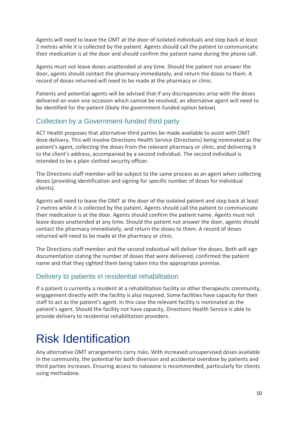Agents will need to leave the OMT at the door of isolated individuals and step back at least 2 metres while it is collected by the patient. Agents should call the patient to communicate their medication is at the door and should confirm the patient name during the phone call.

Agents must not leave doses unattended at any time. Should the patient not answer the door, agents should contact the pharmacy immediately, and return the doses to them. A record of doses returned will need to be made at the pharmacy or clinic.

Patients and potential agents will be advised that if any discrepancies arise with the doses delivered on even one occasion which cannot be resolved, an alternative agent will need to be identified for the patient (likely the government-funded option below).

### Collection by a Government-funded third party

ACT Health proposes that alternative third parties be made available to assist with OMT dose delivery. This will involve Directions Health Service (Directions) being nominated as the patient's agent, collecting the doses from the relevant pharmacy or clinic, and delivering it to the client's address, accompanied by a second individual. The second individual is intended to be a plain clothed security officer.

The Directions staff member will be subject to the same process as an agent when collecting doses (providing identification and signing for specific number of doses for individual clients).

Agents will need to leave the OMT at the door of the isolated patient and step back at least 2 metres while it is collected by the patient. Agents should call the patient to communicate their medication is at the door. Agents should confirm the patient name. Agents must not leave doses unattended at any time. Should the patient not answer the door, agents should contact the pharmacy immediately, and return the doses to them. A record of doses returned will need to be made at the pharmacy or clinic.

The Directions staff member and the second individual will deliver the doses. Both will sign documentation stating the number of doses that were delivered, confirmed the patient name and that they sighted them being taken into the appropriate premise.

### Delivery to patients in residential rehabilitation

If a patient is currently a resident at a rehabilitation facility or other therapeutic community, engagement directly with the facility is also required. Some facilities have capacity for their staff to act as the patient's agent. In this case the relevant facility is nominated as the patient's agent. Should the facility not have capacity, Directions Health Service is able to provide delivery to residential rehabilitation providers.

## <span id="page-10-0"></span>Risk Identification

Any alternative OMT arrangements carry risks. With increased unsupervised doses available in the community, the potential for both diversion and accidental overdose by patients and third parties increases. Ensuring access to naloxone is recommended, particularly for clients using methadone.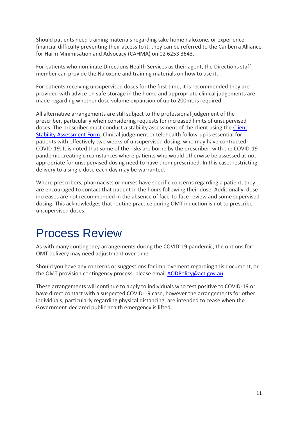Should patients need training materials regarding take home naloxone, or experience financial difficulty preventing their access to it, they can be referred to the Canberra Alliance for Harm Minimisation and Advocacy (CAHMA) on 02 6253 3643.

For patients who nominate Directions Health Services as their agent, the Directions staff member can provide the Naloxone and training materials on how to use it.

For patients receiving unsupervised doses for the first time, it is recommended they are provided with advice on safe storage in the home and appropriate clinical judgements are made regarding whether dose volume expansion of up to 200mL is required.

All alternative arrangements are still subject to the professional judgement of the prescriber, particularly when considering requests for increased limits of unsupervised doses. The prescriber must conduct a stability assessment of the client using the [Client](https://www.health.act.gov.au/sites/default/files/2018-09/Opioid%20Maintenance%20Treatment%20in%20the%20ACT%20-%20Local%20Policies%20and%20Procedures%202018.pdf)  [Stability Assessment Form.](https://www.health.act.gov.au/sites/default/files/2018-09/Opioid%20Maintenance%20Treatment%20in%20the%20ACT%20-%20Local%20Policies%20and%20Procedures%202018.pdf) Clinical judgement or telehealth follow-up is essential for patients with effectively two weeks of unsupervised dosing, who may have contracted COVID-19. It is noted that some of the risks are borne by the prescriber, with the COVID-19 pandemic creating circumstances where patients who would otherwise be assessed as not appropriate for unsupervised dosing need to have them prescribed. In this case, restricting delivery to a single dose each day may be warranted.

Where prescribers, pharmacists or nurses have specific concerns regarding a patient, they are encouraged to contact that patient in the hours following their dose. Additionally, dose increases are not recommended in the absence of face-to-face review and some supervised dosing. This acknowledges that routine practice during OMT induction is not to prescribe unsupervised doses.

## <span id="page-11-0"></span>Process Review

As with many contingency arrangements during the COVID-19 pandemic, the options for OMT delivery may need adjustment over time.

Should you have any concerns or suggestions for improvement regarding this document, or the OMT provision contingency process, please email [AODPolicy@act.gov.au](mailto:AODPolicy@act.gov.au)

These arrangements will continue to apply to individuals who test positive to COVID-19 or have direct contact with a suspected COVID-19 case, however the arrangements for other individuals, particularly regarding physical distancing, are intended to cease when the Government-declared public health emergency is lifted.